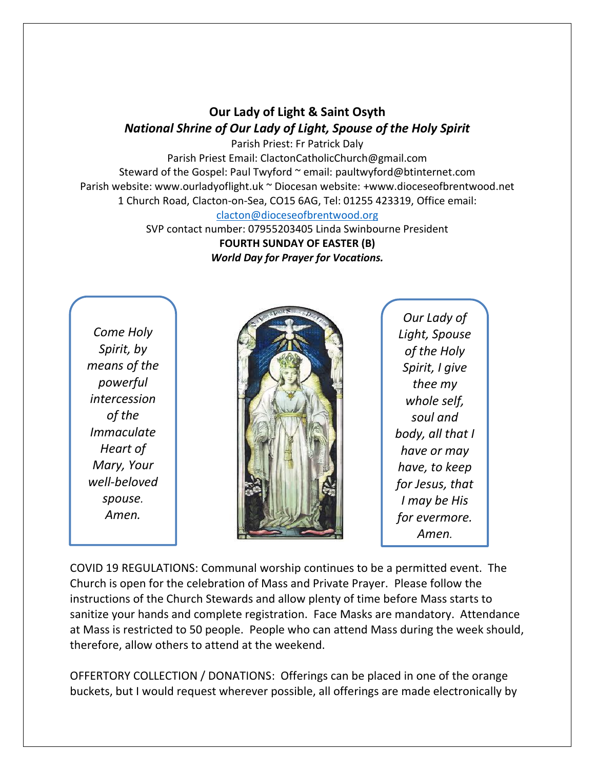## **Our Lady of Light & Saint Osyth** *National Shrine of Our Lady of Light, Spouse of the Holy Spirit*

Parish Priest: Fr Patrick Daly Parish Priest Email: ClactonCatholicChurch@gmail.com Steward of the Gospel: Paul Twyford ~ email: paultwyford@btinternet.com Parish website: www.ourladyoflight.uk ~ Diocesan website: +www.dioceseofbrentwood.net 1 Church Road, Clacton-on-Sea, CO15 6AG, Tel: 01255 423319, Office email: [clacton@dioceseofbrentwood.org](mailto:clacton@dioceseofbrentwood.org)

> SVP contact number: 07955203405 Linda Swinbourne President **FOURTH SUNDAY OF EASTER (B)** *World Day for Prayer for Vocations.*

*Come Holy Spirit, by means of the powerful intercession of the Immaculate Heart of Mary, Your well-beloved spouse. Amen.*



*Our Lady of Light, Spouse of the Holy Spirit, I give thee my whole self, soul and body, all that I have or may have, to keep for Jesus, that I may be His for evermore. Amen.*

COVID 19 REGULATIONS: Communal worship continues to be a permitted event. The Church is open for the celebration of Mass and Private Prayer. Please follow the instructions of the Church Stewards and allow plenty of time before Mass starts to sanitize your hands and complete registration. Face Masks are mandatory. Attendance at Mass is restricted to 50 people. People who can attend Mass during the week should, therefore, allow others to attend at the weekend.

OFFERTORY COLLECTION / DONATIONS: Offerings can be placed in one of the orange buckets, but I would request wherever possible, all offerings are made electronically by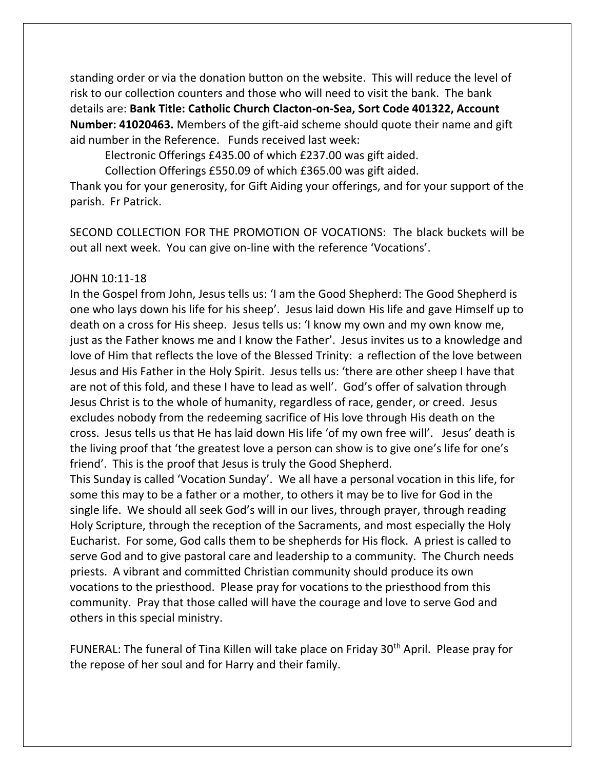standing order or via the donation button on the website. This will reduce the level of risk to our collection counters and those who will need to visit the bank. The bank details are: **Bank Title: Catholic Church Clacton-on-Sea, Sort Code 401322, Account Number: 41020463.** Members of the gift-aid scheme should quote their name and gift aid number in the Reference. Funds received last week:

Electronic Offerings £435.00 of which £237.00 was gift aided.

Collection Offerings £550.09 of which £365.00 was gift aided.

Thank you for your generosity, for Gift Aiding your offerings, and for your support of the parish. Fr Patrick.

SECOND COLLECTION FOR THE PROMOTION OF VOCATIONS: The black buckets will be out all next week. You can give on-line with the reference 'Vocations'.

## JOHN 10:11-18

In the Gospel from John, Jesus tells us: 'I am the Good Shepherd: The Good Shepherd is one who lays down his life for his sheep'. Jesus laid down His life and gave Himself up to death on a cross for His sheep. Jesus tells us: 'I know my own and my own know me, just as the Father knows me and I know the Father'. Jesus invites us to a knowledge and love of Him that reflects the love of the Blessed Trinity: a reflection of the love between Jesus and His Father in the Holy Spirit. Jesus tells us: 'there are other sheep I have that are not of this fold, and these I have to lead as well'. God's offer of salvation through Jesus Christ is to the whole of humanity, regardless of race, gender, or creed. Jesus excludes nobody from the redeeming sacrifice of His love through His death on the cross. Jesus tells us that He has laid down His life 'of my own free will'. Jesus' death is the living proof that 'the greatest love a person can show is to give one's life for one's friend'. This is the proof that Jesus is truly the Good Shepherd.

This Sunday is called 'Vocation Sunday'. We all have a personal vocation in this life, for some this may to be a father or a mother, to others it may be to live for God in the single life. We should all seek God's will in our lives, through prayer, through reading Holy Scripture, through the reception of the Sacraments, and most especially the Holy Eucharist. For some, God calls them to be shepherds for His flock. A priest is called to serve God and to give pastoral care and leadership to a community. The Church needs priests. A vibrant and committed Christian community should produce its own vocations to the priesthood. Please pray for vocations to the priesthood from this community. Pray that those called will have the courage and love to serve God and others in this special ministry.

FUNERAL: The funeral of Tina Killen will take place on Friday 30<sup>th</sup> April. Please pray for the repose of her soul and for Harry and their family.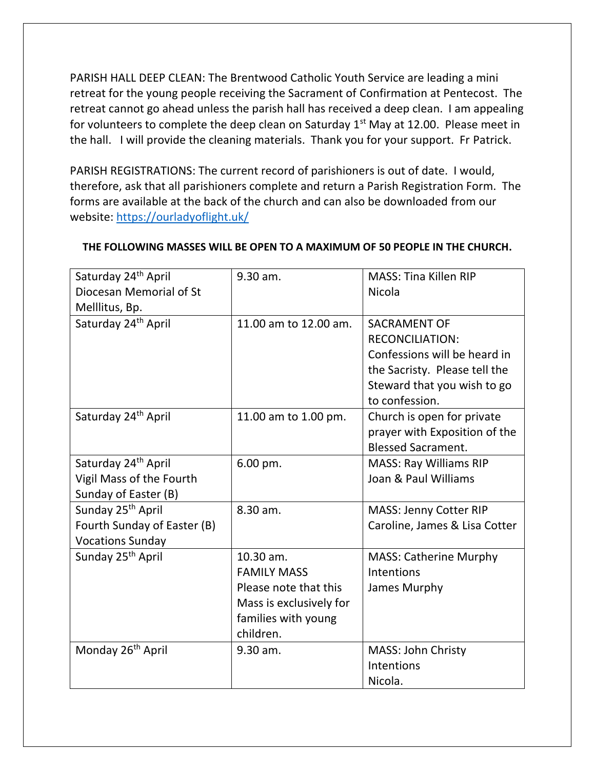PARISH HALL DEEP CLEAN: The Brentwood Catholic Youth Service are leading a mini retreat for the young people receiving the Sacrament of Confirmation at Pentecost. The retreat cannot go ahead unless the parish hall has received a deep clean. I am appealing for volunteers to complete the deep clean on Saturday  $1<sup>st</sup>$  May at 12.00. Please meet in the hall. I will provide the cleaning materials. Thank you for your support. Fr Patrick.

PARISH REGISTRATIONS: The current record of parishioners is out of date. I would, therefore, ask that all parishioners complete and return a Parish Registration Form. The forms are available at the back of the church and can also be downloaded from our website:<https://ourladyoflight.uk/>

| Saturday 24 <sup>th</sup> April | 9.30 am.                | <b>MASS: Tina Killen RIP</b>  |
|---------------------------------|-------------------------|-------------------------------|
| Diocesan Memorial of St         |                         | Nicola                        |
| Melllitus, Bp.                  |                         |                               |
| Saturday 24 <sup>th</sup> April | 11.00 am to 12.00 am.   | <b>SACRAMENT OF</b>           |
|                                 |                         | <b>RECONCILIATION:</b>        |
|                                 |                         | Confessions will be heard in  |
|                                 |                         | the Sacristy. Please tell the |
|                                 |                         | Steward that you wish to go   |
|                                 |                         | to confession.                |
| Saturday 24 <sup>th</sup> April | 11.00 am to 1.00 pm.    | Church is open for private    |
|                                 |                         | prayer with Exposition of the |
|                                 |                         | <b>Blessed Sacrament.</b>     |
| Saturday 24 <sup>th</sup> April | 6.00 pm.                | <b>MASS: Ray Williams RIP</b> |
| Vigil Mass of the Fourth        |                         | Joan & Paul Williams          |
| Sunday of Easter (B)            |                         |                               |
| Sunday 25 <sup>th</sup> April   | 8.30 am.                | MASS: Jenny Cotter RIP        |
| Fourth Sunday of Easter (B)     |                         | Caroline, James & Lisa Cotter |
| <b>Vocations Sunday</b>         |                         |                               |
| Sunday 25 <sup>th</sup> April   | 10.30 am.               | MASS: Catherine Murphy        |
|                                 | <b>FAMILY MASS</b>      | Intentions                    |
|                                 | Please note that this   | James Murphy                  |
|                                 | Mass is exclusively for |                               |
|                                 | families with young     |                               |
|                                 | children.               |                               |
| Monday 26 <sup>th</sup> April   | 9.30 am.                | MASS: John Christy            |
|                                 |                         | Intentions                    |
|                                 |                         | Nicola.                       |

## **THE FOLLOWING MASSES WILL BE OPEN TO A MAXIMUM OF 50 PEOPLE IN THE CHURCH.**